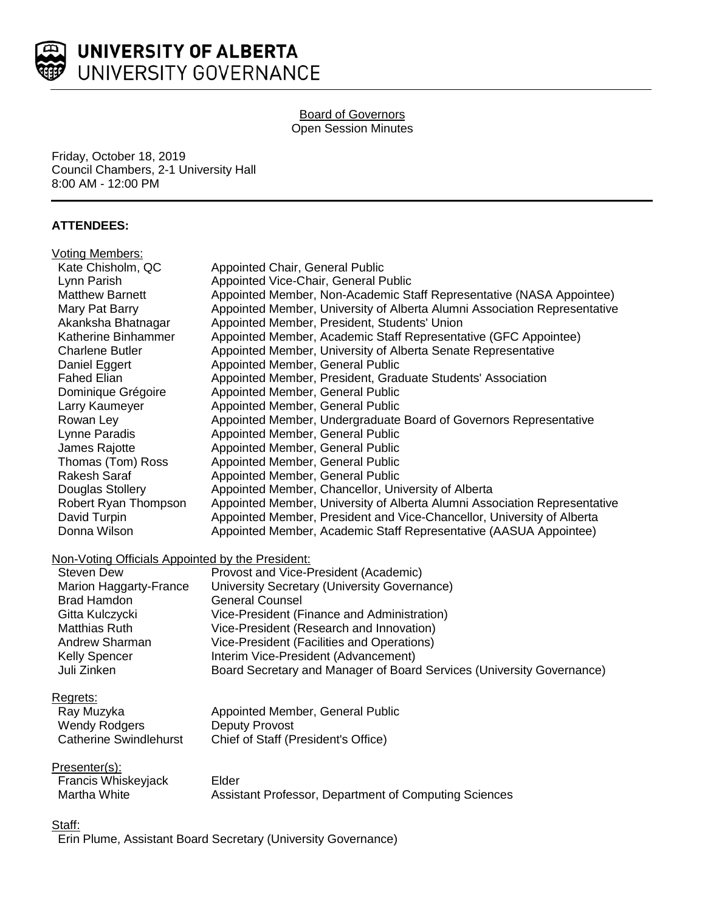

#### Board of Governors Open Session Minutes

Friday, October 18, 2019 Council Chambers, 2-1 University Hall 8:00 AM - 12:00 PM

## **ATTENDEES:**

| Voting Members:                                  |                                                                           |
|--------------------------------------------------|---------------------------------------------------------------------------|
| Kate Chisholm, QC                                | Appointed Chair, General Public                                           |
| Lynn Parish                                      | Appointed Vice-Chair, General Public                                      |
| <b>Matthew Barnett</b>                           | Appointed Member, Non-Academic Staff Representative (NASA Appointee)      |
| Mary Pat Barry                                   | Appointed Member, University of Alberta Alumni Association Representative |
| Akanksha Bhatnagar                               | Appointed Member, President, Students' Union                              |
| Katherine Binhammer                              | Appointed Member, Academic Staff Representative (GFC Appointee)           |
| <b>Charlene Butler</b>                           | Appointed Member, University of Alberta Senate Representative             |
| Daniel Eggert                                    | Appointed Member, General Public                                          |
| <b>Fahed Elian</b>                               | Appointed Member, President, Graduate Students' Association               |
| Dominique Grégoire                               | Appointed Member, General Public                                          |
| Larry Kaumeyer                                   | Appointed Member, General Public                                          |
| Rowan Ley                                        | Appointed Member, Undergraduate Board of Governors Representative         |
| Lynne Paradis                                    | Appointed Member, General Public                                          |
| James Rajotte                                    | Appointed Member, General Public                                          |
| Thomas (Tom) Ross                                | Appointed Member, General Public                                          |
| <b>Rakesh Saraf</b>                              | Appointed Member, General Public                                          |
| Douglas Stollery                                 | Appointed Member, Chancellor, University of Alberta                       |
| Robert Ryan Thompson                             | Appointed Member, University of Alberta Alumni Association Representative |
| David Turpin                                     | Appointed Member, President and Vice-Chancellor, University of Alberta    |
| Donna Wilson                                     | Appointed Member, Academic Staff Representative (AASUA Appointee)         |
| Non-Voting Officials Appointed by the President: |                                                                           |
| <b>Steven Dew</b>                                | Provost and Vice-President (Academic)                                     |
| Marion Haggarty-France                           | University Secretary (University Governance)                              |
| <b>Brad Hamdon</b>                               | <b>General Counsel</b>                                                    |
| Gitta Kulczycki                                  | Vice-President (Finance and Administration)                               |
| <b>Matthias Ruth</b>                             | Vice-President (Research and Innovation)                                  |
| Andrew Sharman                                   | Vice-President (Facilities and Operations)                                |
| <b>Kelly Spencer</b>                             | Interim Vice-President (Advancement)                                      |
| Juli Zinken                                      | Board Secretary and Manager of Board Services (University Governance)     |
|                                                  |                                                                           |
| Regrets:                                         |                                                                           |
| Ray Muzyka                                       | Appointed Member, General Public                                          |
| <b>Wendy Rodgers</b>                             | <b>Deputy Provost</b>                                                     |
| <b>Catherine Swindlehurst</b>                    | Chief of Staff (President's Office)                                       |
|                                                  |                                                                           |

## Presenter(s):

| .                   |                                                       |
|---------------------|-------------------------------------------------------|
| Francis Whiskeyjack | Elder                                                 |
| Martha White        | Assistant Professor, Department of Computing Sciences |

#### Staff:

Erin Plume, Assistant Board Secretary (University Governance)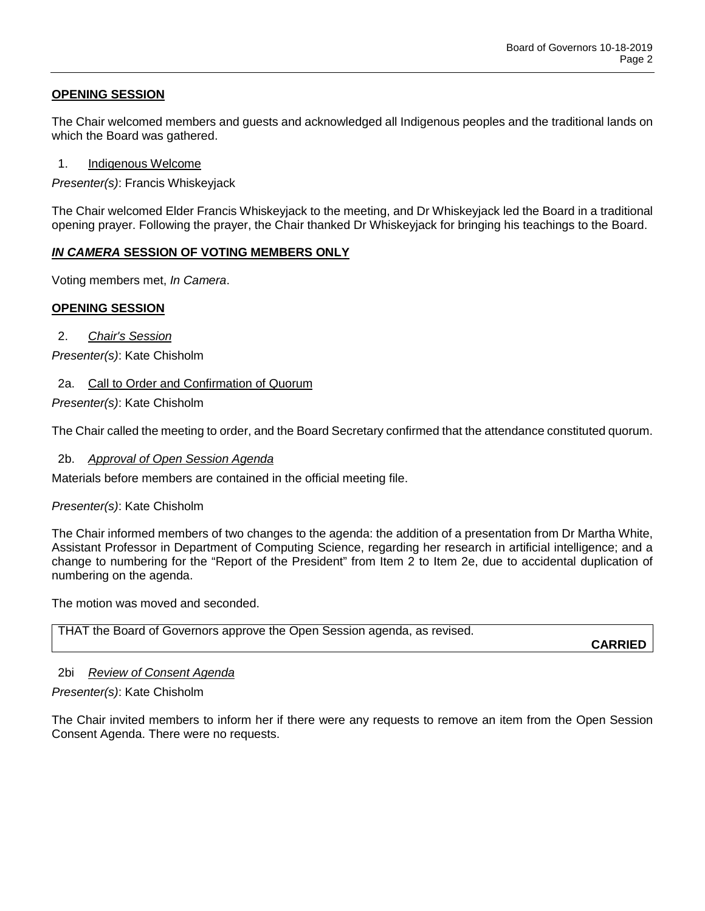# **OPENING SESSION**

The Chair welcomed members and guests and acknowledged all Indigenous peoples and the traditional lands on which the Board was gathered.

1. Indigenous Welcome

*Presenter(s)*: Francis Whiskeyjack

The Chair welcomed Elder Francis Whiskeyjack to the meeting, and Dr Whiskeyjack led the Board in a traditional opening prayer. Following the prayer, the Chair thanked Dr Whiskeyjack for bringing his teachings to the Board.

## *IN CAMERA* **SESSION OF VOTING MEMBERS ONLY**

Voting members met, *In Camera*.

## **OPENING SESSION**

2. *Chair's Session*

*Presenter(s)*: Kate Chisholm

## 2a. Call to Order and Confirmation of Quorum

*Presenter(s)*: Kate Chisholm

The Chair called the meeting to order, and the Board Secretary confirmed that the attendance constituted quorum.

## 2b. *Approval of Open Session Agenda*

Materials before members are contained in the official meeting file.

## *Presenter(s)*: Kate Chisholm

The Chair informed members of two changes to the agenda: the addition of a presentation from Dr Martha White, Assistant Professor in Department of Computing Science, regarding her research in artificial intelligence; and a change to numbering for the "Report of the President" from Item 2 to Item 2e, due to accidental duplication of numbering on the agenda.

The motion was moved and seconded.

| THAT the Board of Governors approve the Open Session agenda, as revised. |  |
|--------------------------------------------------------------------------|--|
|--------------------------------------------------------------------------|--|

**CARRIED**

## 2bi *Review of Consent Agenda*

## *Presenter(s)*: Kate Chisholm

The Chair invited members to inform her if there were any requests to remove an item from the Open Session Consent Agenda. There were no requests.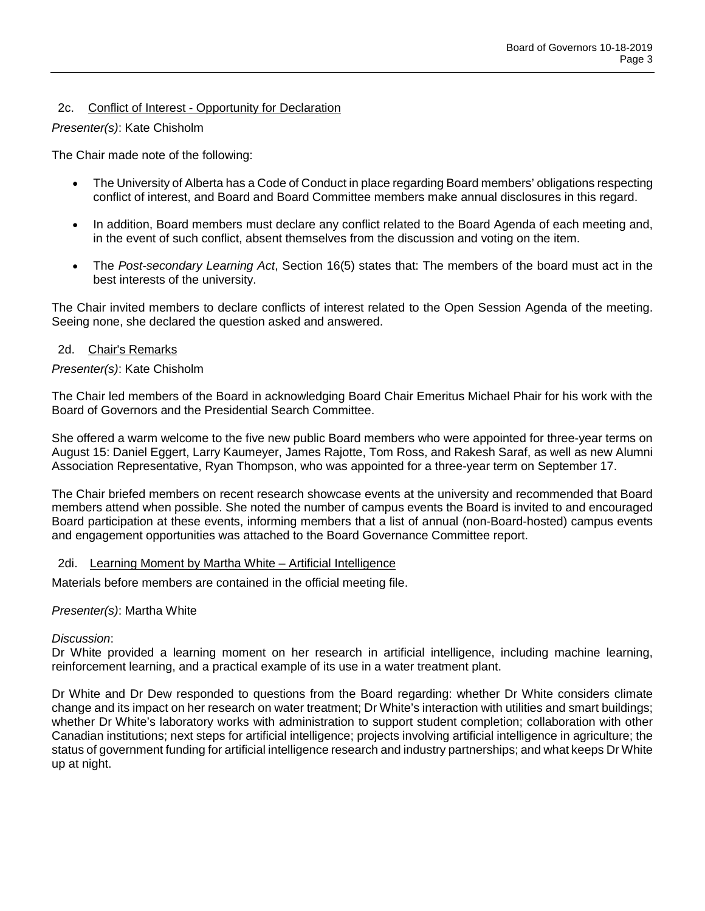# 2c. Conflict of Interest - Opportunity for Declaration

## *Presenter(s)*: Kate Chisholm

The Chair made note of the following:

- The University of Alberta has a Code of Conduct in place regarding Board members' obligations respecting conflict of interest, and Board and Board Committee members make annual disclosures in this regard.
- In addition, Board members must declare any conflict related to the Board Agenda of each meeting and, in the event of such conflict, absent themselves from the discussion and voting on the item.
- The *Post-secondary Learning Act*, Section 16(5) states that: The members of the board must act in the best interests of the university.

The Chair invited members to declare conflicts of interest related to the Open Session Agenda of the meeting. Seeing none, she declared the question asked and answered.

## 2d. Chair's Remarks

## *Presenter(s)*: Kate Chisholm

The Chair led members of the Board in acknowledging Board Chair Emeritus Michael Phair for his work with the Board of Governors and the Presidential Search Committee.

She offered a warm welcome to the five new public Board members who were appointed for three-year terms on August 15: Daniel Eggert, Larry Kaumeyer, James Rajotte, Tom Ross, and Rakesh Saraf, as well as new Alumni Association Representative, Ryan Thompson, who was appointed for a three-year term on September 17.

The Chair briefed members on recent research showcase events at the university and recommended that Board members attend when possible. She noted the number of campus events the Board is invited to and encouraged Board participation at these events, informing members that a list of annual (non-Board-hosted) campus events and engagement opportunities was attached to the Board Governance Committee report.

## 2di. Learning Moment by Martha White – Artificial Intelligence

Materials before members are contained in the official meeting file.

## *Presenter(s)*: Martha White

## *Discussion*:

Dr White provided a learning moment on her research in artificial intelligence, including machine learning, reinforcement learning, and a practical example of its use in a water treatment plant.

Dr White and Dr Dew responded to questions from the Board regarding: whether Dr White considers climate change and its impact on her research on water treatment; Dr White's interaction with utilities and smart buildings; whether Dr White's laboratory works with administration to support student completion; collaboration with other Canadian institutions; next steps for artificial intelligence; projects involving artificial intelligence in agriculture; the status of government funding for artificial intelligence research and industry partnerships; and what keeps Dr White up at night.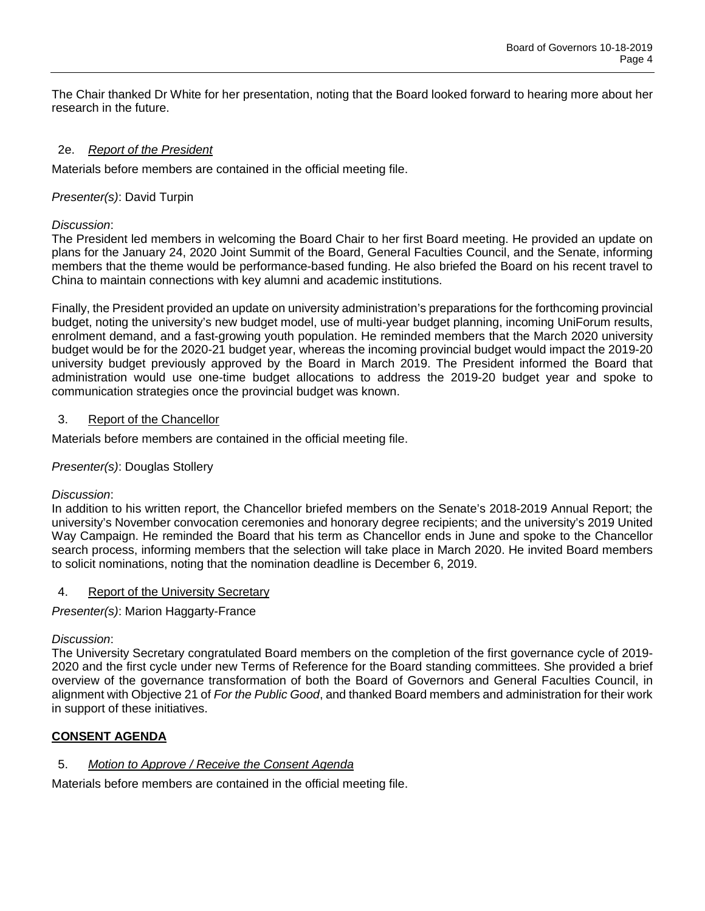The Chair thanked Dr White for her presentation, noting that the Board looked forward to hearing more about her research in the future.

## 2e. *Report of the President*

Materials before members are contained in the official meeting file.

## *Presenter(s)*: David Turpin

## *Discussion*:

The President led members in welcoming the Board Chair to her first Board meeting. He provided an update on plans for the January 24, 2020 Joint Summit of the Board, General Faculties Council, and the Senate, informing members that the theme would be performance-based funding. He also briefed the Board on his recent travel to China to maintain connections with key alumni and academic institutions.

Finally, the President provided an update on university administration's preparations for the forthcoming provincial budget, noting the university's new budget model, use of multi-year budget planning, incoming UniForum results, enrolment demand, and a fast-growing youth population. He reminded members that the March 2020 university budget would be for the 2020-21 budget year, whereas the incoming provincial budget would impact the 2019-20 university budget previously approved by the Board in March 2019. The President informed the Board that administration would use one-time budget allocations to address the 2019-20 budget year and spoke to communication strategies once the provincial budget was known.

## 3. Report of the Chancellor

Materials before members are contained in the official meeting file.

## *Presenter(s)*: Douglas Stollery

## *Discussion*:

In addition to his written report, the Chancellor briefed members on the Senate's 2018-2019 Annual Report; the university's November convocation ceremonies and honorary degree recipients; and the university's 2019 United Way Campaign. He reminded the Board that his term as Chancellor ends in June and spoke to the Chancellor search process, informing members that the selection will take place in March 2020. He invited Board members to solicit nominations, noting that the nomination deadline is December 6, 2019.

## 4. Report of the University Secretary

*Presenter(s)*: Marion Haggarty-France

## *Discussion*:

The University Secretary congratulated Board members on the completion of the first governance cycle of 2019- 2020 and the first cycle under new Terms of Reference for the Board standing committees. She provided a brief overview of the governance transformation of both the Board of Governors and General Faculties Council, in alignment with Objective 21 of *For the Public Good*, and thanked Board members and administration for their work in support of these initiatives.

# **CONSENT AGENDA**

## 5. *Motion to Approve / Receive the Consent Agenda*

Materials before members are contained in the official meeting file.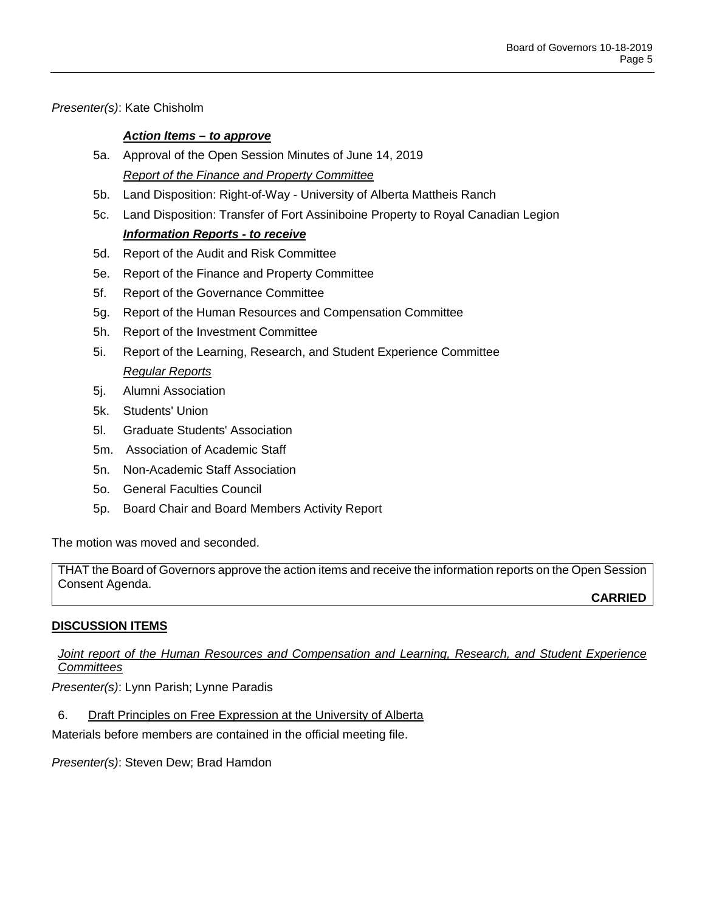*Presenter(s)*: Kate Chisholm

## *Action Items – to approve*

- 5a. Approval of the Open Session Minutes of June 14, 2019 *Report of the Finance and Property Committee*
- 5b. Land Disposition: Right-of-Way University of Alberta Mattheis Ranch
- 5c. Land Disposition: Transfer of Fort Assiniboine Property to Royal Canadian Legion *Information Reports - to receive*
- 5d. Report of the Audit and Risk Committee
- 5e. Report of the Finance and Property Committee
- 5f. Report of the Governance Committee
- 5g. Report of the Human Resources and Compensation Committee
- 5h. Report of the Investment Committee
- 5i. Report of the Learning, Research, and Student Experience Committee *Regular Reports*
- 5j. Alumni Association
- 5k. Students' Union
- 5l. Graduate Students' Association
- 5m. Association of Academic Staff
- 5n. Non-Academic Staff Association
- 5o. General Faculties Council
- 5p. Board Chair and Board Members Activity Report

The motion was moved and seconded.

THAT the Board of Governors approve the action items and receive the information reports on the Open Session Consent Agenda. **CARRIED**

# **DISCUSSION ITEMS**

*Joint report of the Human Resources and Compensation and Learning, Research, and Student Experience Committees*

*Presenter(s)*: Lynn Parish; Lynne Paradis

6. Draft Principles on Free Expression at the University of Alberta

Materials before members are contained in the official meeting file.

*Presenter(s)*: Steven Dew; Brad Hamdon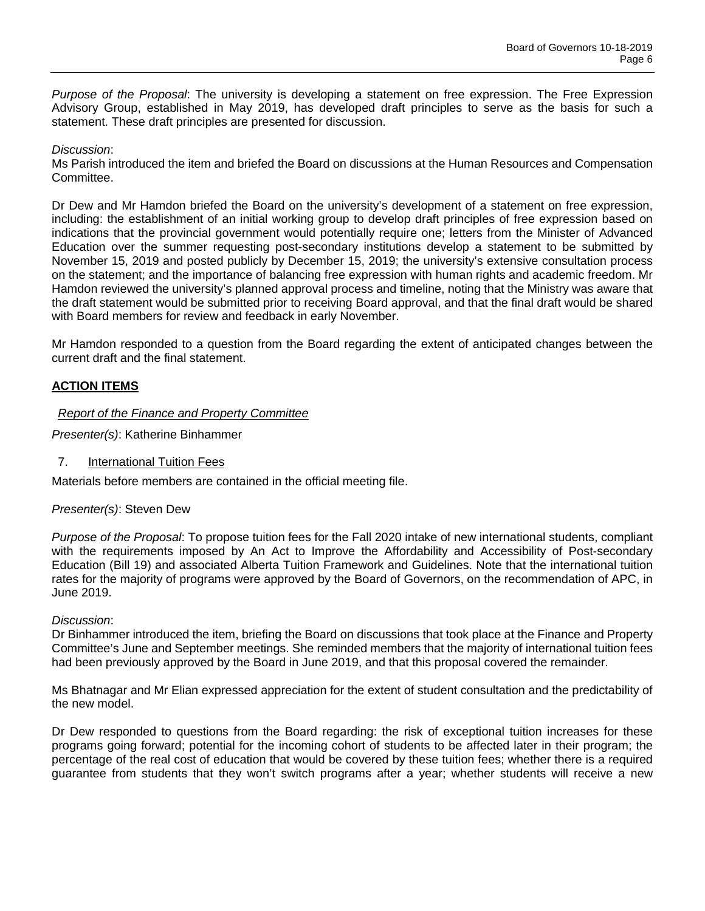*Purpose of the Proposal*: The university is developing a statement on free expression. The Free Expression Advisory Group, established in May 2019, has developed draft principles to serve as the basis for such a statement. These draft principles are presented for discussion.

## *Discussion*:

Ms Parish introduced the item and briefed the Board on discussions at the Human Resources and Compensation Committee.

Dr Dew and Mr Hamdon briefed the Board on the university's development of a statement on free expression, including: the establishment of an initial working group to develop draft principles of free expression based on indications that the provincial government would potentially require one; letters from the Minister of Advanced Education over the summer requesting post-secondary institutions develop a statement to be submitted by November 15, 2019 and posted publicly by December 15, 2019; the university's extensive consultation process on the statement; and the importance of balancing free expression with human rights and academic freedom. Mr Hamdon reviewed the university's planned approval process and timeline, noting that the Ministry was aware that the draft statement would be submitted prior to receiving Board approval, and that the final draft would be shared with Board members for review and feedback in early November.

Mr Hamdon responded to a question from the Board regarding the extent of anticipated changes between the current draft and the final statement.

## **ACTION ITEMS**

#### *Report of the Finance and Property Committee*

*Presenter(s)*: Katherine Binhammer

7. International Tuition Fees

Materials before members are contained in the official meeting file.

## *Presenter(s)*: Steven Dew

*Purpose of the Proposal*: To propose tuition fees for the Fall 2020 intake of new international students, compliant with the requirements imposed by An Act to Improve the Affordability and Accessibility of Post-secondary Education (Bill 19) and associated Alberta Tuition Framework and Guidelines. Note that the international tuition rates for the majority of programs were approved by the Board of Governors, on the recommendation of APC, in June 2019.

#### *Discussion*:

Dr Binhammer introduced the item, briefing the Board on discussions that took place at the Finance and Property Committee's June and September meetings. She reminded members that the majority of international tuition fees had been previously approved by the Board in June 2019, and that this proposal covered the remainder.

Ms Bhatnagar and Mr Elian expressed appreciation for the extent of student consultation and the predictability of the new model.

Dr Dew responded to questions from the Board regarding: the risk of exceptional tuition increases for these programs going forward; potential for the incoming cohort of students to be affected later in their program; the percentage of the real cost of education that would be covered by these tuition fees; whether there is a required guarantee from students that they won't switch programs after a year; whether students will receive a new